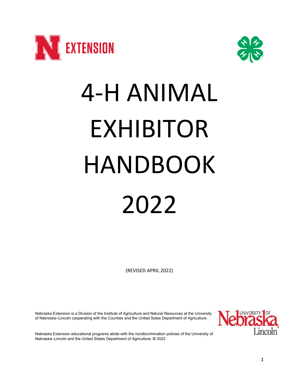



# 4-H ANIMAL EXHIBITOR HANDBOOK 2022

(REVISED APRIL 2022)

Nebraska Extension is a Division of the Institute of Agriculture and Natural Resources at the University of Nebraska–Lincoln cooperating with the Counties and the United Sates Department of Agriculture.



Nebraska Extension educational programs abide with the nondiscrimination policies of the University of Nebraska–Lincoln and the United States Department of Agriculture. **©** 2022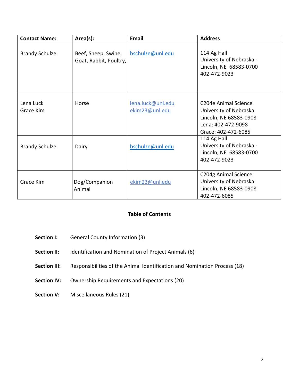| <b>Contact Name:</b>   | Area(s):                                      | <b>Email</b>                        | <b>Address</b>                                                                                                                     |
|------------------------|-----------------------------------------------|-------------------------------------|------------------------------------------------------------------------------------------------------------------------------------|
| <b>Brandy Schulze</b>  | Beef, Sheep, Swine,<br>Goat, Rabbit, Poultry, | bschulze@unl.edu                    | 114 Ag Hall<br>University of Nebraska -<br>Lincoln, NE 68583-0700<br>402-472-9023                                                  |
| Lena Luck<br>Grace Kim | Horse                                         | lena.luck@unl.edu<br>ekim23@unl.edu | C <sub>204</sub> e Animal Science<br>University of Nebraska<br>Lincoln, NE 68583-0908<br>Lena: 402-472-9098<br>Grace: 402-472-6085 |
| <b>Brandy Schulze</b>  | Dairy                                         | bschulze@unl.edu                    | 114 Ag Hall<br>University of Nebraska -<br>Lincoln, NE 68583-0700<br>402-472-9023                                                  |
| Grace Kim              | Dog/Companion<br>Animal                       | ekim23@unl.edu                      | C204g Animal Science<br>University of Nebraska<br>Lincoln, NE 68583-0908<br>402-472-6085                                           |

# **Table of Contents**

- **Section I:** General County Information (3)
- **Section II:** Identification and Nomination of Project Animals (6)
- **Section III:** Responsibilities of the Animal Identification and Nomination Process (18)
- **Section IV:** Ownership Requirements and Expectations (20)
- **Section V:** Miscellaneous Rules (21)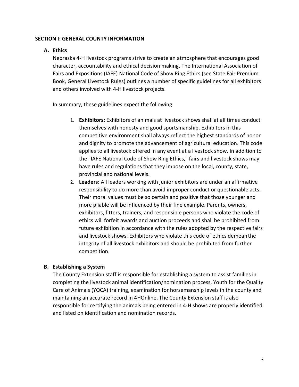## **SECTION I: GENERAL COUNTY INFORMATION**

## **A. Ethics**

Nebraska 4-H livestock programs strive to create an atmosphere that encourages good character, accountability and ethical decision making. The International Association of Fairs and Expositions (IAFE) National Code of Show Ring Ethics (see State Fair Premium Book, General Livestock Rules) outlines a number of specific guidelines for all exhibitors and others involved with 4-H livestock projects.

In summary, these guidelines expect the following:

- 1. **Exhibitors:** Exhibitors of animals at livestock shows shall at all times conduct themselves with honesty and good sportsmanship. Exhibitors in this competitive environment shall always reflect the highest standards of honor and dignity to promote the advancement of agricultural education. This code applies to all livestock offered in any event at a livestock show. In addition to the "IAFE National Code of Show Ring Ethics," fairs and livestock shows may have rules and regulations that they impose on the local, county, state, provincial and national levels.
- 2. **Leaders:** All leaders working with junior exhibitors are under an affirmative responsibility to do more than avoid improper conduct or questionable acts. Their moral values must be so certain and positive that those younger and more pliable will be influenced by their fine example. Parents, owners, exhibitors, fitters, trainers, and responsible persons who violate the code of ethics will forfeit awards and auction proceeds and shall be prohibited from future exhibition in accordance with the rules adopted by the respective fairs and livestock shows. Exhibitors who violate this code of ethics demeanthe integrity of all livestock exhibitors and should be prohibited from further competition.

# **B. Establishing a System**

The County Extension staff is responsible for establishing a system to assist families in completing the livestock animal identification/nomination process, Youth for the Quality Care of Animals (YQCA) training, examination for horsemanship levels in the county and maintaining an accurate record in 4HOnline. The County Extension staff is also responsible for certifying the animals being entered in 4-H shows are properly identified and listed on identification and nomination records.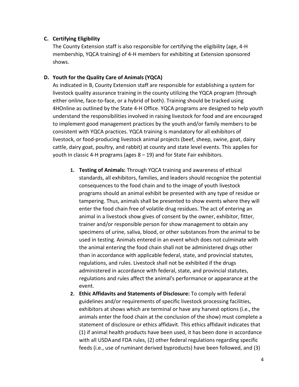# **C. Certifying Eligibility**

The County Extension staff is also responsible for certifying the eligibility (age, 4-H membership, YQCA training) of 4-H members for exhibiting at Extension sponsored shows.

## **D. Youth for the Quality Care of Animals (YQCA)**

As indicated in B, County Extension staff are responsible for establishing a system for livestock quality assurance training in the county utilizing the YQCA program (through either online, face-to-face, or a hybrid of both). Training should be tracked using 4HOnline as outlined by the State 4-H Office. YQCA programs are designed to help youth understand the responsibilities involved in raising livestock for food and are encouraged to implement good management practices by the youth and/or family members to be consistent with YQCA practices. YQCA training is mandatory for all exhibitors of livestock, or food-producing livestock animal projects (beef, sheep, swine, goat, dairy cattle, dairy goat, poultry, and rabbit) at county and state level events. This applies for youth in classic 4-H programs (ages  $8 - 19$ ) and for State Fair exhibitors.

- **1. Testing of Animals:** Through YQCA training and awareness of ethical standards, all exhibitors, families, and leaders should recognize the potential consequences to the food chain and to the image of youth livestock programs should an animal exhibit be presented with any type of residue or tampering. Thus, animals shall be presented to show events where they will enter the food chain free of volatile drug residues. The act of entering an animal in a livestock show gives of consent by the owner, exhibitor, fitter, trainer and/or responsible person for show management to obtain any specimens of urine, saliva, blood, or other substances from the animal to be used in testing. Animals entered in an event which does not culminate with the animal entering the food chain shall not be administered drugs other than in accordance with applicable federal, state, and provincial statutes, regulations, and rules. Livestock shall not be exhibited if the drugs administered in accordance with federal, state, and provincial statutes, regulations and rules affect the animal's performance or appearance at the event.
- **2. Ethic Affidavits and Statements of Disclosure:** To comply with federal guidelines and/or requirements of specific livestock processing facilities, exhibitors at shows which are terminal or have any harvest options (i.e., the animals enter the food chain at the conclusion of the show) must complete a statement of disclosure or ethics affidavit. This ethics affidavit indicates that (1) if animal health products have been used, it has been done in accordance with all USDAand FDA rules, (2) other federal regulations regarding specific feeds (i.e., use of ruminant derived byproducts) have been followed, and (3)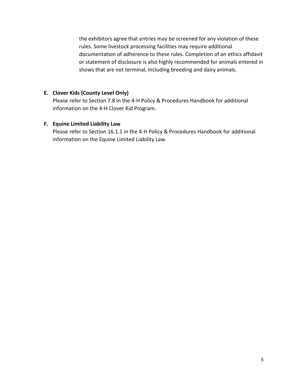the exhibitors agree that entries may be screened for any violation of these rules. Some livestock processing facilities may require additional documentation of adherence to these rules. Completion of an ethics affidavit or statement of disclosure is also highly recommended for animals entered in shows that are not terminal, including breeding and dairy animals.

# **E. Clover Kids (County Level Only)**

Please refer to Section 7.8 in the 4-H Policy & Procedures Handbook for additional information on the 4-H Clover Kid Program.

## **F. Equine Limited Liability Law**

Please refer to Section 16.1.1 in the 4-H Policy & Procedures Handbook for additional information on the Equine Limited Liability Law.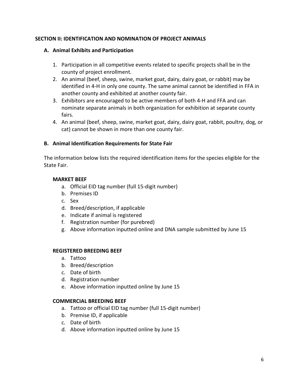# **SECTION II: IDENTIFICATION AND NOMINATION OF PROJECT ANIMALS**

## **A. Animal Exhibits and Participation**

- 1. Participation in all competitive events related to specific projects shall be in the county of project enrollment.
- 2. An animal (beef, sheep, swine, market goat, dairy, dairy goat, or rabbit) may be identified in 4-H in only one county. The same animal cannot be identified in FFA in another county and exhibited at another county fair.
- 3. Exhibitors are encouraged to be active members of both 4-H and FFA and can nominate separate animals in both organization for exhibition at separate county fairs.
- 4. An animal (beef, sheep, swine, market goat, dairy, dairy goat, rabbit, poultry, dog, or cat) cannot be shown in more than one county fair.

# **B. Animal Identification Requirements for State Fair**

The information below lists the required identification items for the species eligible for the State Fair.

## **MARKET BEEF**

- a. Official EID tag number (full 15-digit number)
- b. Premises ID
- c. Sex
- d. Breed/description, if applicable
- e. Indicate if animal is registered
- f. Registration number (for purebred)
- g. Above information inputted online and DNA sample submitted by June 15

# **REGISTERED BREEDING BEEF**

- a. Tattoo
- b. Breed/description
- c. Date of birth
- d. Registration number
- e. Above information inputted online by June 15

## **COMMERCIAL BREEDING BEEF**

- a. Tattoo or official EID tag number (full 15-digit number)
- b. Premise ID, if applicable
- c. Date of birth
- d. Above information inputted online by June 15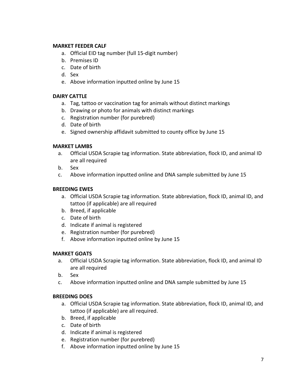## **MARKET FEEDER CALF**

- a. Official EID tag number (full 15-digit number)
- b. Premises ID
- c. Date of birth
- d. Sex
- e. Above information inputted online by June 15

## **DAIRY CATTLE**

- a. Tag, tattoo or vaccination tag for animals without distinct markings
- b. Drawing or photo for animals with distinct markings
- c. Registration number (for purebred)
- d. Date of birth
- e. Signed ownership affidavit submitted to county office by June 15

## **MARKET LAMBS**

- a. Official USDA Scrapie tag information. State abbreviation, flock ID, and animal ID are all required
- b. Sex
- c. Above information inputted online and DNA sample submitted by June 15

## **BREEDING EWES**

- a. Official USDA Scrapie tag information. State abbreviation, flock ID, animal ID, and tattoo (if applicable) are all required
- b. Breed, if applicable
- c. Date of birth
- d. Indicate if animal is registered
- e. Registration number (for purebred)
- f. Above information inputted online by June 15

## **MARKET GOATS**

- a. Official USDA Scrapie tag information. State abbreviation, flock ID, and animal ID are all required
- b. Sex
- c. Above information inputted online and DNA sample submitted by June 15

## **BREEDING DOES**

- a. Official USDA Scrapie tag information. State abbreviation, flock ID, animal ID, and tattoo (if applicable) are all required.
- b. Breed, if applicable
- c. Date of birth
- d. Indicate if animal is registered
- e. Registration number (for purebred)
- f. Above information inputted online by June 15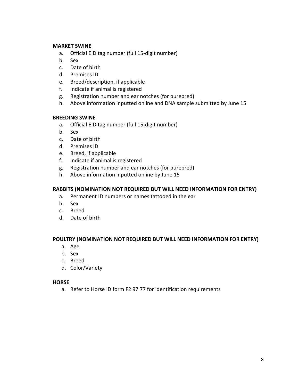#### **MARKET SWINE**

- a. Official EID tag number (full 15-digit number)
- b. Sex
- c. Date of birth
- d. Premises ID
- e. Breed/description, if applicable
- f. Indicate if animal is registered
- g. Registration number and ear notches (for purebred)
- h. Above information inputted online and DNA sample submitted by June 15

## **BREEDING SWINE**

- a. Official EID tag number (full 15-digit number)
- b. Sex
- c. Date of birth
- d. Premises ID
- e. Breed, if applicable
- f. Indicate if animal is registered
- g. Registration number and ear notches (for purebred)
- h. Above information inputted online by June 15

# **RABBITS (NOMINATION NOT REQUIRED BUT WILL NEED INFORMATION FOR ENTRY)**

- a. Permanent ID numbers or names tattooed in the ear
- b. Sex
- c. Breed
- d. Date of birth

## **POULTRY (NOMINATION NOT REQUIRED BUT WILL NEED INFORMATION FOR ENTRY)**

- a. Age
- b. Sex
- c. Breed
- d. Color/Variety

## **HORSE**

a. Refer to Horse ID form F2 97 77 for identification requirements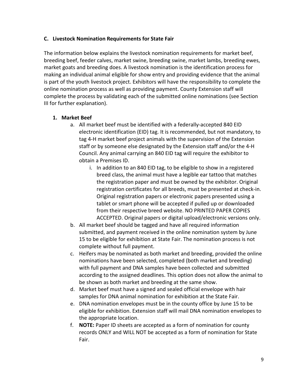## **C. Livestock Nomination Requirements for State Fair**

The information below explains the livestock nomination requirements for market beef, breeding beef, feeder calves, market swine, breeding swine, market lambs, breeding ewes, market goats and breeding does. A livestock nomination is the identification process for making an individual animal eligible for show entry and providing evidence that the animal is part of the youth livestock project. Exhibitors will have the responsibility to complete the online nomination process as well as providing payment. County Extension staff will complete the process by validating each of the submitted online nominations (see Section III for further explanation).

# **1. Market Beef**

- a. All market beef must be identified with a federally-accepted 840 EID electronic identification (EID) tag. It is recommended, but not mandatory, to tag 4-H market beef project animals with the supervision of the Extension staff or by someone else designated by the Extension staff and/or the 4-H Council. Any animal carrying an 840 EID tag will require the exhibitor to obtain a Premises ID.
	- i. In addition to an 840 EID tag, to be eligible to show in a registered breed class, the animal must have a legible ear tattoo that matches the registration paper and must be owned by the exhibitor. Original registration certificates for all breeds, must be presented at check-in. Original registration papers or electronic papers presented using a tablet or smart phone will be accepted if pulled up or downloaded from their respective breed website. NO PRINTED PAPER COPIES ACCEPTED. Original papers or digital upload/electronic versions only.
- b. All market beef should be tagged and have all required information submitted, and payment received in the online nomination system by June 15 to be eligible for exhibition at State Fair. The nomination process is not complete without full payment.
- c. Heifers may be nominated as both market and breeding, provided the online nominations have been selected, completed (both market and breeding) with full payment and DNA samples have been collected and submitted according to the assigned deadlines. This option does not allow the animal to be shown as both market and breeding at the same show.
- d. Market beef must have a signed and sealed official envelope with hair samples for DNA animal nomination for exhibition at the State Fair.
- e. DNA nomination envelopes must be in the county office by June 15 to be eligible for exhibition. Extension staff will mail DNA nomination envelopes to the appropriate location.
- f. **NOTE:** Paper ID sheets are accepted as a form of nomination for county records ONLY and WILL NOT be accepted as a form of nomination for State Fair.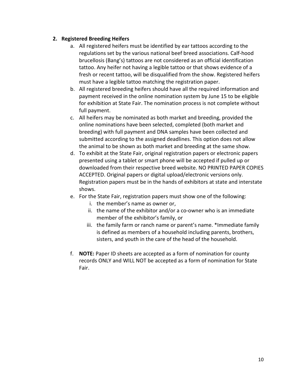# **2. Registered Breeding Heifers**

- a. All registered heifers must be identified by ear tattoos according to the regulations set by the various national beef breed associations. Calf-hood brucellosis (Bang's) tattoos are not considered as an official identification tattoo. Any heifer not having a legible tattoo or that shows evidence of a fresh or recent tattoo, will be disqualified from the show. Registered heifers must have a legible tattoo matching the registration paper.
- b. All registered breeding heifers should have all the required information and payment received in the online nomination system by June 15 to be eligible for exhibition at State Fair. The nomination process is not complete without full payment.
- c. All heifers may be nominated as both market and breeding, provided the online nominations have been selected, completed (both market and breeding) with full payment and DNA samples have been collected and submitted according to the assigned deadlines. This option does not allow the animal to be shown as both market and breeding at the same show.
- d. To exhibit at the State Fair, original registration papers or electronic papers presented using a tablet or smart phone will be accepted if pulled up or downloaded from their respective breed website. NO PRINTED PAPER COPIES ACCEPTED. Original papers or digital upload/electronic versions only. Registration papers must be in the hands of exhibitors at state and interstate shows.
- e. For the State Fair, registration papers must show one of the following:
	- i. the member's name as owner or,
	- ii. the name of the exhibitor and/or a co-owner who is an immediate member of the exhibitor's family, or
	- iii. the family farm or ranch name or parent's name. \*Immediate family is defined as members of a household including parents, brothers, sisters, and youth in the care of the head of the household.
- f. **NOTE:** Paper ID sheets are accepted as a form of nomination for county records ONLY and WILL NOT be accepted as a form of nomination for State Fair.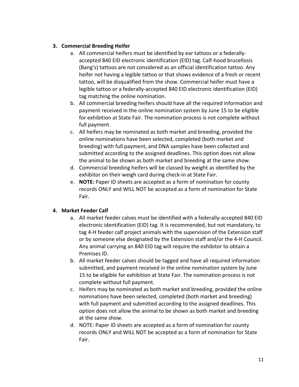# **3. Commercial Breeding Heifer**

- a. All commercial heifers must be identified by ear tattoos or a federallyaccepted 840 EID electronic identification (EID) tag. Calf-hood brucellosis (Bang's) tattoos are not considered as an official identification tattoo. Any heifer not having a legible tattoo or that shows evidence of a fresh or recent tattoo, will be disqualified from the show. Commercial heifer must have a legible tattoo or a federally-accepted 840 EID electronic identification (EID) tag matching the online nomination.
- b. All commercial breeding heifers should have all the required information and payment received in the online nomination system by June 15 to be eligible for exhibition at State Fair. The nomination process is not complete without full payment.
- c. All heifers may be nominated as both market and breeding, provided the online nominations have been selected, completed (both market and breeding) with full payment, and DNA samples have been collected and submitted according to the assigned deadlines. This option does not allow the animal to be shown as both market and breeding at the same show.
- d. Commercial breeding heifers will be classed by weight as identified by the exhibitor on their weigh card during check-in at State Fair.
- e. **NOTE:** Paper ID sheets are accepted as a form of nomination for county records ONLY and WILL NOT be accepted as a form of nomination for State Fair.

# **4. Market Feeder Calf**

- a. All market feeder calves must be identified with a federally-accepted 840 EID electronic identification (EID) tag. It is recommended, but not mandatory, to tag 4-H feeder calf project animals with the supervision of the Extension staff or by someone else designated by the Extension staff and/or the 4-H Council. Any animal carrying an 840 EID tag will require the exhibitor to obtain a Premises ID.
- b. All market feeder calves should be tagged and have all required information submitted, and payment received in the online nomination system by June 15 to be eligible for exhibition at State Fair. The nomination process is not complete without full payment.
- c. Heifers may be nominated as both market and breeding, provided the online nominations have been selected, completed (both market and breeding) with full payment and submitted according to the assigned deadlines. This option does not allow the animal to be shown as both market and breeding at the same show.
- d. NOTE: Paper ID sheets are accepted as a form of nomination for county records ONLY and WILL NOT be accepted as a form of nomination for State Fair.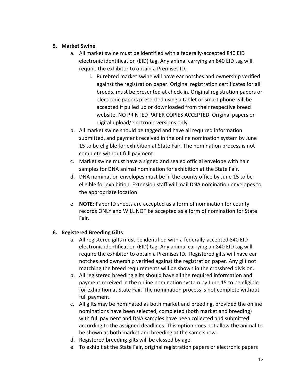# **5. Market Swine**

- a. All market swine must be identified with a federally-accepted 840 EID electronic identification (EID) tag. Any animal carrying an 840 EID tag will require the exhibitor to obtain a Premises ID.
	- i. Purebred market swine will have ear notches and ownership verified against the registration paper. Original registration certificates for all breeds, must be presented at check-in. Original registration papers or electronic papers presented using a tablet or smart phone will be accepted if pulled up or downloaded from their respective breed website. NO PRINTED PAPER COPIES ACCEPTED. Original papers or digital upload/electronic versions only.
- b. All market swine should be tagged and have all required information submitted, and payment received in the online nomination system by June 15 to be eligible for exhibition at State Fair. The nomination process is not complete without full payment.
- c. Market swine must have a signed and sealed official envelope with hair samples for DNA animal nomination for exhibition at the State Fair.
- d. DNA nomination envelopes must be in the county office by June 15 to be eligible for exhibition. Extension staff will mail DNA nomination envelopes to the appropriate location.
- e. **NOTE:** Paper ID sheets are accepted as a form of nomination for county records ONLY and WILL NOT be accepted as a form of nomination for State Fair.

# **6. Registered Breeding Gilts**

- a. All registered gilts must be identified with a federally-accepted 840 EID electronic identification (EID) tag. Any animal carrying an 840 EID tag will require the exhibitor to obtain a Premises ID. Registered gilts will have ear notches and ownership verified against the registration paper. Any gilt not matching the breed requirements will be shown in the crossbred division.
- b. All registered breeding gilts should have all the required information and payment received in the online nomination system by June 15 to be eligible for exhibition at State Fair. The nomination process is not complete without full payment.
- c. All gilts may be nominated as both market and breeding, provided the online nominations have been selected, completed (both market and breeding) with full payment and DNA samples have been collected and submitted according to the assigned deadlines. This option does not allow the animal to be shown as both market and breeding at the same show.
- d. Registered breeding gilts will be classed by age.
- e. To exhibit at the State Fair, original registration papers or electronic papers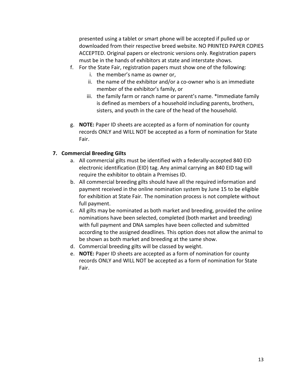presented using a tablet or smart phone will be accepted if pulled up or downloaded from their respective breed website. NO PRINTED PAPER COPIES ACCEPTED. Original papers or electronic versions only. Registration papers must be in the hands of exhibitors at state and interstate shows.

- f. For the State Fair, registration papers must show one of the following:
	- i. the member's name as owner or,
	- ii. the name of the exhibitor and/or a co-owner who is an immediate member of the exhibitor's family, or
	- iii. the family farm or ranch name or parent's name. \*Immediate family is defined as members of a household including parents, brothers, sisters, and youth in the care of the head of the household.
- g. **NOTE:** Paper ID sheets are accepted as a form of nomination for county records ONLY and WILL NOT be accepted as a form of nomination for State Fair.

## **7. Commercial Breeding Gilts**

- a. All commercial gilts must be identified with a federally-accepted 840 EID electronic identification (EID) tag. Any animal carrying an 840 EID tag will require the exhibitor to obtain a Premises ID.
- b. All commercial breeding gilts should have all the required information and payment received in the online nomination system by June 15 to be eligible for exhibition at State Fair. The nomination process is not complete without full payment.
- c. All gilts may be nominated as both market and breeding, provided the online nominations have been selected, completed (both market and breeding) with full payment and DNA samples have been collected and submitted according to the assigned deadlines. This option does not allow the animal to be shown as both market and breeding at the same show.
- d. Commercial breeding gilts will be classed by weight.
- e. **NOTE:** Paper ID sheets are accepted as a form of nomination for county records ONLY and WILL NOT be accepted as a form of nomination for State Fair.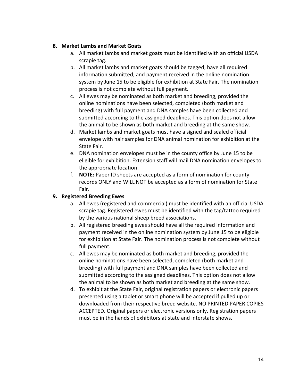# **8. Market Lambs and Market Goats**

- a. All market lambs and market goats must be identified with an official USDA scrapie tag.
- b. All market lambs and market goats should be tagged, have all required information submitted, and payment received in the online nomination system by June 15 to be eligible for exhibition at State Fair. The nomination process is not complete without full payment.
- c. All ewes may be nominated as both market and breeding, provided the online nominations have been selected, completed (both market and breeding) with full payment and DNA samples have been collected and submitted according to the assigned deadlines. This option does not allow the animal to be shown as both market and breeding at the same show.
- d. Market lambs and market goats must have a signed and sealed official envelope with hair samples for DNA animal nomination for exhibition at the State Fair.
- e. DNA nomination envelopes must be in the county office by June 15 to be eligible for exhibition. Extension staff will mail DNA nomination envelopes to the appropriate location.
- f. **NOTE:** Paper ID sheets are accepted as a form of nomination for county records ONLY and WILL NOT be accepted as a form of nomination for State Fair.

# **9. Registered Breeding Ewes**

- a. All ewes (registered and commercial) must be identified with an official USDA scrapie tag. Registered ewes must be identified with the tag/tattoo required by the various national sheep breed associations.
- b. All registered breeding ewes should have all the required information and payment received in the online nomination system by June 15 to be eligible for exhibition at State Fair. The nomination process is not complete without full payment.
- c. All ewes may be nominated as both market and breeding, provided the online nominations have been selected, completed (both market and breeding) with full payment and DNA samples have been collected and submitted according to the assigned deadlines. This option does not allow the animal to be shown as both market and breeding at the same show.
- d. To exhibit at the State Fair, original registration papers or electronic papers presented using a tablet or smart phone will be accepted if pulled up or downloaded from their respective breed website. NO PRINTED PAPER COPIES ACCEPTED. Original papers or electronic versions only. Registration papers must be in the hands of exhibitors at state and interstate shows.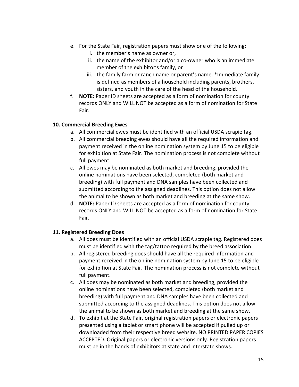- e. For the State Fair, registration papers must show one of the following:
	- i. the member's name as owner or,
	- ii. the name of the exhibitor and/or a co-owner who is an immediate member of the exhibitor's family, or
	- iii. the family farm or ranch name or parent's name. \*Immediate family is defined as members of a household including parents, brothers, sisters, and youth in the care of the head of the household.
- f. **NOTE:** Paper ID sheets are accepted as a form of nomination for county records ONLY and WILL NOT be accepted as a form of nomination for State Fair.

## **10. Commercial Breeding Ewes**

- a. All commercial ewes must be identified with an official USDA scrapie tag.
- b. All commercial breeding ewes should have all the required information and payment received in the online nomination system by June 15 to be eligible for exhibition at State Fair. The nomination process is not complete without full payment.
- c. All ewes may be nominated as both market and breeding, provided the online nominations have been selected, completed (both market and breeding) with full payment and DNA samples have been collected and submitted according to the assigned deadlines. This option does not allow the animal to be shown as both market and breeding at the same show.
- d. **NOTE:** Paper ID sheets are accepted as a form of nomination for county records ONLY and WILL NOT be accepted as a form of nomination for State Fair.

# **11. Registered Breeding Does**

- a. All does must be identified with an official USDA scrapie tag. Registered does must be identified with the tag/tattoo required by the breed association.
- b. All registered breeding does should have all the required information and payment received in the online nomination system by June 15 to be eligible for exhibition at State Fair. The nomination process is not complete without full payment.
- c. All does may be nominated as both market and breeding, provided the online nominations have been selected, completed (both market and breeding) with full payment and DNA samples have been collected and submitted according to the assigned deadlines. This option does not allow the animal to be shown as both market and breeding at the same show.
- d. To exhibit at the State Fair, original registration papers or electronic papers presented using a tablet or smart phone will be accepted if pulled up or downloaded from their respective breed website. NO PRINTED PAPER COPIES ACCEPTED. Original papers or electronic versions only. Registration papers must be in the hands of exhibitors at state and interstate shows.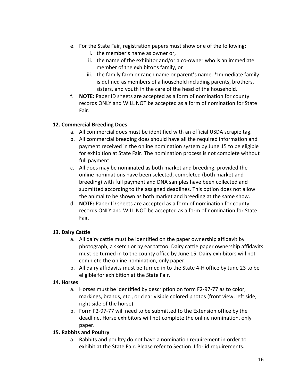- e. For the State Fair, registration papers must show one of the following:
	- i. the member's name as owner or,
	- ii. the name of the exhibitor and/or a co-owner who is an immediate member of the exhibitor's family, or
	- iii. the family farm or ranch name or parent's name. \*Immediate family is defined as members of a household including parents, brothers, sisters, and youth in the care of the head of the household.
- f. **NOTE:** Paper ID sheets are accepted as a form of nomination for county records ONLY and WILL NOT be accepted as a form of nomination for State Fair.

# **12. Commercial Breeding Does**

- a. All commercial does must be identified with an official USDA scrapie tag.
- b. All commercial breeding does should have all the required information and payment received in the online nomination system by June 15 to be eligible for exhibition at State Fair. The nomination process is not complete without full payment.
- c. All does may be nominated as both market and breeding, provided the online nominations have been selected, completed (both market and breeding) with full payment and DNA samples have been collected and submitted according to the assigned deadlines. This option does not allow the animal to be shown as both market and breeding at the same show.
- d. **NOTE:** Paper ID sheets are accepted as a form of nomination for county records ONLY and WILL NOT be accepted as a form of nomination for State Fair.

# **13. Dairy Cattle**

- a. All dairy cattle must be identified on the paper ownership affidavit by photograph, a sketch or by ear tattoo. Dairy cattle paper ownership affidavits must be turned in to the county office by June 15. Dairy exhibitors will not complete the online nomination, only paper.
- b. All dairy affidavits must be turned in to the State 4-H office by June 23 to be eligible for exhibition at the State Fair.

# **14. Horses**

- a. Horses must be identified by description on form F2-97-77 as to color, markings, brands, etc., or clear visible colored photos (front view, left side, right side of the horse).
- b. Form F2-97-77 will need to be submitted to the Extension office by the deadline. Horse exhibitors will not complete the online nomination, only paper.

# **15. Rabbits and Poultry**

a. Rabbits and poultry do not have a nomination requirement in order to exhibit at the State Fair. Please refer to Section II for id requirements.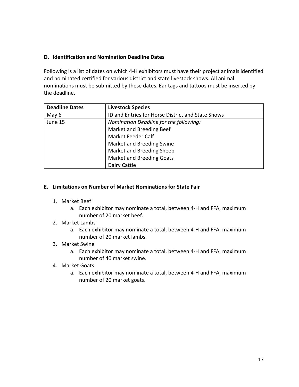# **D. Identification and Nomination Deadline Dates**

Following is a list of dates on which 4-H exhibitors must have their project animals identified and nominated certified for various district and state livestock shows. All animal nominations must be submitted by these dates. Ear tags and tattoos must be inserted by the deadline.

| <b>Deadline Dates</b> | <b>Livestock Species</b>                          |  |
|-----------------------|---------------------------------------------------|--|
| May 6                 | ID and Entries for Horse District and State Shows |  |
| June 15               | Nomination Deadline for the following:            |  |
|                       | Market and Breeding Beef                          |  |
|                       | Market Feeder Calf                                |  |
|                       | Market and Breeding Swine                         |  |
|                       | Market and Breeding Sheep                         |  |
|                       | <b>Market and Breeding Goats</b>                  |  |
|                       | Dairy Cattle                                      |  |

## **E. Limitations on Number of Market Nominations for State Fair**

- 1. Market Beef
	- a. Each exhibitor may nominate a total, between 4-H and FFA, maximum number of 20 market beef.
- 2. Market Lambs
	- a. Each exhibitor may nominate a total, between 4-H and FFA, maximum number of 20 market lambs.

## 3. Market Swine

- a. Each exhibitor may nominate a total, between 4-H and FFA, maximum number of 40 market swine.
- 4. Market Goats
	- a. Each exhibitor may nominate a total, between 4-H and FFA, maximum number of 20 market goats.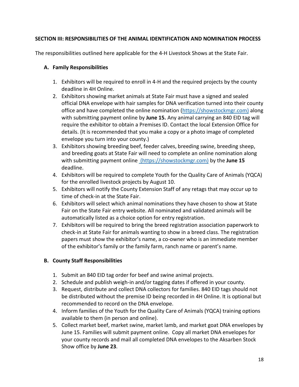# **SECTION III: RESPONSIBILITIES OF THE ANIMAL IDENTIFICATION AND NOMINATION PROCESS**

The responsibilities outlined here applicable for the 4-H Livestock Shows at the State Fair.

# **A. Family Responsibilities**

- 1. Exhibitors will be required to enroll in 4-H and the required projects by the county deadline in 4H Online.
- 2. Exhibitors showing market animals at State Fair must have a signed and sealed official DNA envelope with hair samples for DNA verification turned into their county office and have completed the online nomination [\(https://showstockmgr.com\)](https://showstockmgr.com/) along with submitting payment online by **June 15.** Any animal carrying an 840 EID tag will require the exhibitor to obtain a Premises ID. Contact the local Extension Office for details. (It is recommended that you make a copy or a photo image of completed envelope you turn into your county.)
- 3. Exhibitors showing breeding beef, feeder calves, breeding swine, breeding sheep, and breeding goats at State Fair will need to complete an online nomination along with submitting payment online (https://showstockmgr.com) by the **June 15** deadline.
- 4. Exhibitors will be required to complete Youth for the Quality Care of Animals (YQCA) for the enrolled livestock projects by August 10.
- 5. Exhibitors will notify the County Extension Staff of any retags that may occur up to time of check-in at the State Fair.
- 6. Exhibitors will select which animal nominations they have chosen to show at State Fair on the State Fair entry website. All nominated and validated animals will be automatically listed as a choice option for entry registration.
- 7. Exhibitors will be required to bring the breed registration association paperwork to check-in at State Fair for animals wanting to show in a breed class. The registration papers must show the exhibitor's name, a co-owner who is an immediate member of the exhibitor's family or the family farm, ranch name or parent's name.

# **B. County Staff Responsibilities**

- 1. Submit an 840 EID tag order for beef and swine animal projects.
- 2. Schedule and publish weigh-in and/or tagging dates if offered in your county.
- 3. Request, distribute and collect DNA collectors for families. 840 EID tags should not be distributed without the premise ID being recorded in 4H Online. It is optional but recommended to record on the DNA envelope.
- 4. Inform families of the Youth for the Quality Care of Animals (YQCA) training options available to them (in person and online).
- 5. Collect market beef, market swine, market lamb, and market goat DNA envelopes by June 15. Families will submit payment online. Copy all market DNA envelopes for your county records and mail all completed DNA envelopes to the Aksarben Stock Show office by **June 23**.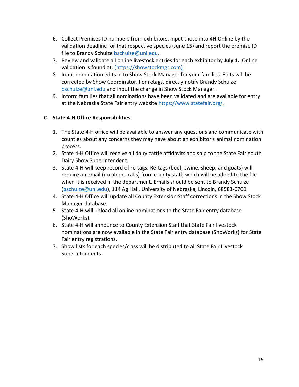- 6. Collect Premises ID numbers from exhibitors. Input those into 4H Online by the validation deadline for that respective species (June 15) and report the premise ID file to Brandy Schulze [bschulze@unl.edu.](mailto:bschulze@unl.edu)
- 7. Review and validate all online livestock entries for each exhibitor by **July 1.** Online validation is found at: (https://showstockmgr.com)
- 8. Input nomination edits in to Show Stock Manager for your families. Edits will be corrected by Show Coordinator. For retags, directly notify Brandy Schulze [bschulze@unl.edu](mailto:bschulze@unl.edu) and input the change in Show Stock Manager.
- 9. Inform families that all nominations have been validated and are available for entry at the Nebraska State Fair entry website [https://www.statefair.org/.](https://www.statefair.org/)

# **C. State 4-H Office Responsibilities**

- 1. The State 4-H office will be available to answer any questions and communicate with counties about any concerns they may have about an exhibitor's animal nomination process.
- 2. State 4-H Office will receive all dairy cattle affidavits and ship to the State Fair Youth Dairy Show Superintendent.
- 3. State 4-H will keep record of re-tags. Re-tags (beef, swine, sheep, and goats) will require an email (no phone calls) from county staff, which will be added to the file when it is received in the department. Emails should be sent to Brandy Schulze [\(bschulze@unl.edu\)](mailto:bschulze@unl.edu), 114 Ag Hall, University of Nebraska, Lincoln, 68583-0700.
- 4. State 4-H Office will update all County Extension Staff corrections in the Show Stock Manager database.
- 5. State 4-H will upload all online nominations to the State Fair entry database (ShoWorks).
- 6. State 4-H will announce to County Extension Staff that State Fair livestock nominations are now available in the State Fair entry database (ShoWorks) for State Fair entry registrations.
- 7. Show lists for each species/class will be distributed to all State Fair Livestock Superintendents.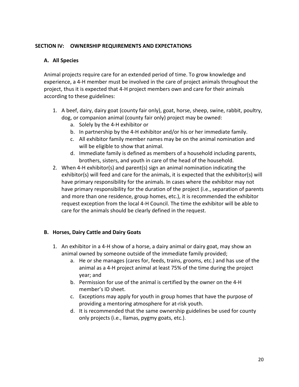# **SECTION IV: OWNERSHIP REQUIREMENTS AND EXPECTATIONS**

# **A. All Species**

Animal projects require care for an extended period of time. To grow knowledge and experience, a 4-H member must be involved in the care of project animals throughout the project, thus it is expected that 4-H project members own and care for their animals according to these guidelines:

- 1. A beef, dairy, dairy goat (county fair only), goat, horse, sheep, swine, rabbit, poultry, dog, or companion animal (county fair only) project may be owned:
	- a. Solely by the 4-H exhibitor or
	- b. In partnership by the 4-H exhibitor and/or his or her immediate family.
	- c. All exhibitor family member names may be on the animal nomination and will be eligible to show that animal.
	- d. Immediate family is defined as members of a household including parents, brothers, sisters, and youth in care of the head of the household.
- 2. When 4-H exhibitor(s) and parent(s) sign an animal nomination indicating the exhibitor(s) will feed and care for the animals, it is expected that the exhibitor(s) will have primary responsibility for the animals. In cases where the exhibitor may not have primary responsibility for the duration of the project (i.e., separation of parents and more than one residence, group homes, etc.), it is recommended the exhibitor request exception from the local 4-H Council. The time the exhibitor will be able to care for the animals should be clearly defined in the request.

# **B. Horses, Dairy Cattle and Dairy Goats**

- 1. An exhibitor in a 4-H show of a horse, a dairy animal or dairy goat, may show an animal owned by someone outside of the immediate family provided;
	- a. He or she manages (cares for, feeds, trains, grooms, etc.) and has use of the animal as a 4-H project animal at least 75% of the time during the project year; and
	- b. Permission for use of the animal is certified by the owner on the 4-H member's ID sheet.
	- c. Exceptions may apply for youth in group homes that have the purpose of providing a mentoring atmosphere for at-risk youth.
	- d. It is recommended that the same ownership guidelines be used for county only projects (i.e., llamas, pygmy goats, etc.).